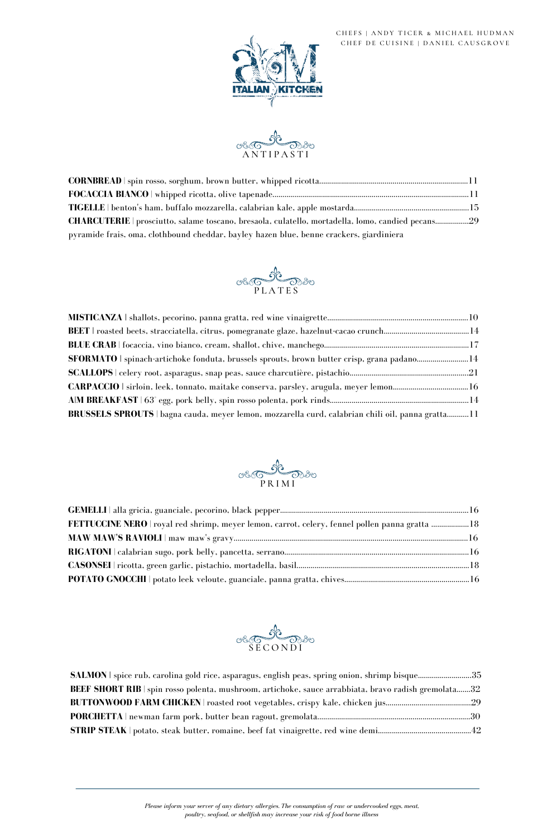| SFORMATO   spinach-artichoke fonduta, brussels sprouts, brown butter crisp, grana padano14        |  |
|---------------------------------------------------------------------------------------------------|--|
|                                                                                                   |  |
|                                                                                                   |  |
|                                                                                                   |  |
| BRUSSELS SPROUTS   bagna cauda, meyer lemon, mozzarella curd, calabrian chili oil, panna gratta11 |  |







| <b>SALMON</b> spice rub, carolina gold rice, asparagus, english peas, spring onion, shrimp bisque35  |  |
|------------------------------------------------------------------------------------------------------|--|
| BEEF SHORT RIB   spin rosso polenta, mushroom, artichoke, sauce arrabbiata, bravo radish gremolata32 |  |
| BUTTONWOOD FARM CHICKEN   roasted root vegetables, crispy kale, chicken jus29                        |  |
|                                                                                                      |  |
|                                                                                                      |  |

## CHEFS | ANDY TICER & MICHAEL HUDMAN CHEF DE CUISINE | DANIEL CAUSGROVE





*Please inform your server of any dietary allergies. The consumption of raw or undercooked eggs, meat, poultry, seafood, or shellfish may increase your risk of food borne illness*

| CHARCUTERIE   prosciutto, salame toscano, bresaola, culatello, mortadella, lomo, candied pecans29 |  |
|---------------------------------------------------------------------------------------------------|--|
| pyramide frais, oma, clothbound cheddar, bayley hazen blue, benne crackers, giardiniera           |  |

| FETTUCCINE NERO   royal red shrimp, meyer lemon, carrot, celery, fennel pollen panna gratta 18 |  |
|------------------------------------------------------------------------------------------------|--|
|                                                                                                |  |
|                                                                                                |  |
|                                                                                                |  |
|                                                                                                |  |